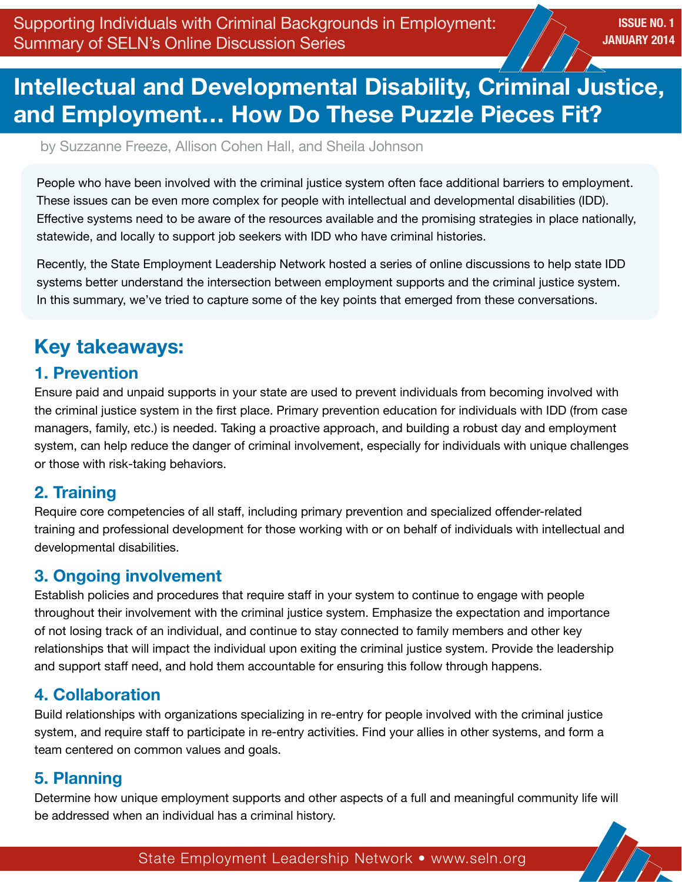## **Intellectual and Developmental Disability, Criminal Justice, and Employment… How Do These Puzzle Pieces Fit?**

by Suzzanne Freeze, Allison Cohen Hall, and Sheila Johnson

People who have been involved with the criminal justice system often face additional barriers to employment. These issues can be even more complex for people with intellectual and developmental disabilities (IDD). Effective systems need to be aware of the resources available and the promising strategies in place nationally, statewide, and locally to support job seekers with IDD who have criminal histories.

Recently, the State Employment Leadership Network hosted a series of online discussions to help state IDD systems better understand the intersection between employment supports and the criminal justice system. In this summary, we've tried to capture some of the key points that emerged from these conversations.

## **Key takeaways:**

## **1. Prevention**

Ensure paid and unpaid supports in your state are used to prevent individuals from becoming involved with the criminal justice system in the first place. Primary prevention education for individuals with IDD (from case managers, family, etc.) is needed. Taking a proactive approach, and building a robust day and employment system, can help reduce the danger of criminal involvement, especially for individuals with unique challenges or those with risk-taking behaviors.

## **2. Training**

Require core competencies of all staff, including primary prevention and specialized offender-related training and professional development for those working with or on behalf of individuals with intellectual and developmental disabilities.

## **3. Ongoing involvement**

Establish policies and procedures that require staff in your system to continue to engage with people throughout their involvement with the criminal justice system. Emphasize the expectation and importance of not losing track of an individual, and continue to stay connected to family members and other key relationships that will impact the individual upon exiting the criminal justice system. Provide the leadership and support staff need, and hold them accountable for ensuring this follow through happens.

## **4. Collaboration**

Build relationships with organizations specializing in re-entry for people involved with the criminal justice system, and require staff to participate in re-entry activities. Find your allies in other systems, and form a team centered on common values and goals.

## **5. Planning**

Determine how unique employment supports and other aspects of a full and meaningful community life will be addressed when an individual has a criminal history.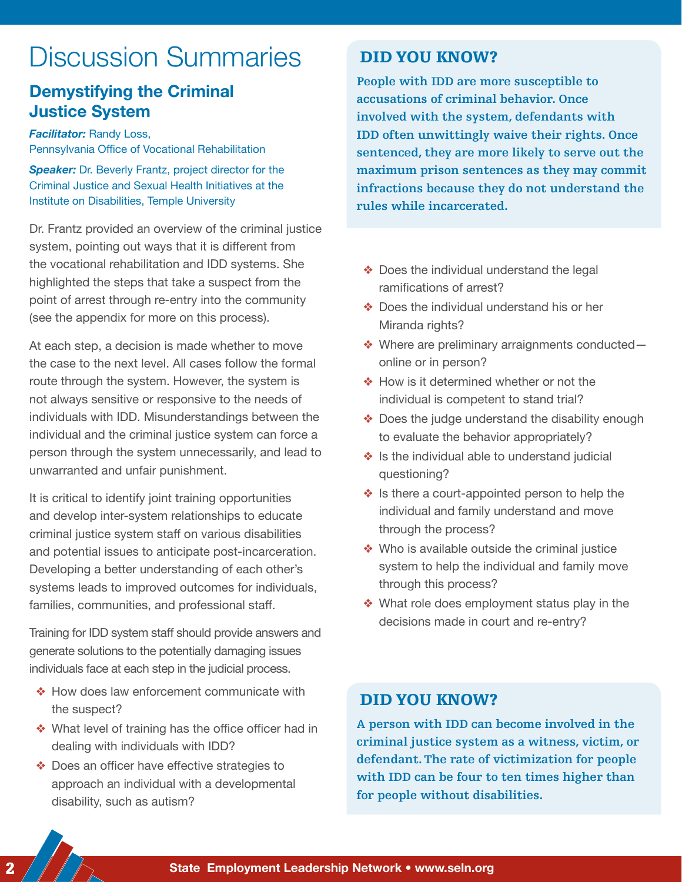# Discussion Summaries

## **Demystifying the Criminal Justice System**

*Facilitator:* Randy Loss, Pennsylvania Office of Vocational Rehabilitation

**Speaker:** Dr. Beverly Frantz, project director for the Criminal Justice and Sexual Health Initiatives at the Institute on Disabilities, Temple University

Dr. Frantz provided an overview of the criminal justice system, pointing out ways that it is different from the vocational rehabilitation and IDD systems. She highlighted the steps that take a suspect from the point of arrest through re-entry into the community (see the appendix for more on this process).

At each step, a decision is made whether to move the case to the next level. All cases follow the formal route through the system. However, the system is not always sensitive or responsive to the needs of individuals with IDD. Misunderstandings between the individual and the criminal justice system can force a person through the system unnecessarily, and lead to unwarranted and unfair punishment.

It is critical to identify joint training opportunities and develop inter-system relationships to educate criminal justice system staff on various disabilities and potential issues to anticipate post-incarceration. Developing a better understanding of each other's systems leads to improved outcomes for individuals, families, communities, and professional staff.

Training for IDD system staff should provide answers and generate solutions to the potentially damaging issues individuals face at each step in the judicial process.

- ❖ How does law enforcement communicate with the suspect?
- ❖ What level of training has the office officer had in dealing with individuals with IDD?
- ❖ Does an officer have effective strategies to approach an individual with a developmental disability, such as autism?

### DID YOU KNOW?

**People with IDD are more susceptible to accusations of criminal behavior. Once involved with the system, defendants with IDD often unwittingly waive their rights. Once sentenced, they are more likely to serve out the maximum prison sentences as they may commit infractions because they do not understand the rules while incarcerated.**

- ❖ Does the individual understand the legal ramifications of arrest?
- ❖ Does the individual understand his or her Miranda rights?
- ❖ Where are preliminary arraignments conducted online or in person?
- ❖ How is it determined whether or not the individual is competent to stand trial?
- ❖ Does the judge understand the disability enough to evaluate the behavior appropriately?
- ❖ Is the individual able to understand judicial questioning?
- ❖ Is there a court-appointed person to help the individual and family understand and move through the process?
- ❖ Who is available outside the criminal justice system to help the individual and family move through this process?
- ❖ What role does employment status play in the decisions made in court and re-entry?

### DID YOU KNOW?

**A person with IDD can become involved in the criminal justice system as a witness, victim, or defendant. The rate of victimization for people with IDD can be four to ten times higher than for people without disabilities.**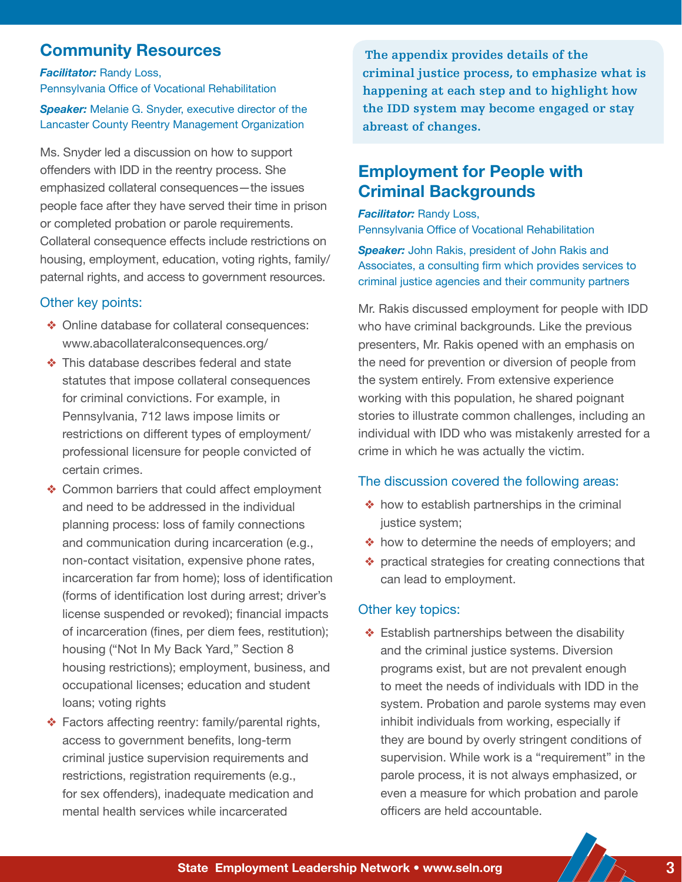## **Community Resources**

*Facilitator:* Randy Loss,

Pennsylvania Office of Vocational Rehabilitation **Speaker:** Melanie G. Snyder, executive director of the Lancaster County Reentry Management Organization

Ms. Snyder led a discussion on how to support offenders with IDD in the reentry process. She emphasized collateral consequences—the issues people face after they have served their time in prison or completed probation or parole requirements. Collateral consequence effects include restrictions on housing, employment, education, voting rights, family/ paternal rights, and access to government resources.

### Other key points:

- ❖ Online database for collateral consequences: www.abacollateralconsequences.org/
- ❖ This database describes federal and state statutes that impose collateral consequences for criminal convictions. For example, in Pennsylvania, 712 laws impose limits or restrictions on different types of employment/ professional licensure for people convicted of certain crimes.
- ❖ Common barriers that could affect employment and need to be addressed in the individual planning process: loss of family connections and communication during incarceration (e.g., non-contact visitation, expensive phone rates, incarceration far from home); loss of identification (forms of identification lost during arrest; driver's license suspended or revoked); financial impacts of incarceration (fines, per diem fees, restitution); housing ("Not In My Back Yard," Section 8 housing restrictions); employment, business, and occupational licenses; education and student loans; voting rights
- ❖ Factors affecting reentry: family/parental rights, access to government benefits, long-term criminal justice supervision requirements and restrictions, registration requirements (e.g., for sex offenders), inadequate medication and mental health services while incarcerated

**The appendix provides details of the criminal justice process, to emphasize what is happening at each step and to highlight how the IDD system may become engaged or stay abreast of changes.**

## **Employment for People with Criminal Backgrounds**

*Facilitator:* Randy Loss, Pennsylvania Office of Vocational Rehabilitation

*Speaker:* John Rakis, president of John Rakis and Associates, a consulting firm which provides services to criminal justice agencies and their community partners

Mr. Rakis discussed employment for people with IDD who have criminal backgrounds. Like the previous presenters, Mr. Rakis opened with an emphasis on the need for prevention or diversion of people from the system entirely. From extensive experience working with this population, he shared poignant stories to illustrate common challenges, including an individual with IDD who was mistakenly arrested for a crime in which he was actually the victim.

#### The discussion covered the following areas:

- ❖ how to establish partnerships in the criminal justice system;
- ❖ how to determine the needs of employers; and
- ❖ practical strategies for creating connections that can lead to employment.

### Other key topics:

❖ Establish partnerships between the disability and the criminal justice systems. Diversion programs exist, but are not prevalent enough to meet the needs of individuals with IDD in the system. Probation and parole systems may even inhibit individuals from working, especially if they are bound by overly stringent conditions of supervision. While work is a "requirement" in the parole process, it is not always emphasized, or even a measure for which probation and parole officers are held accountable.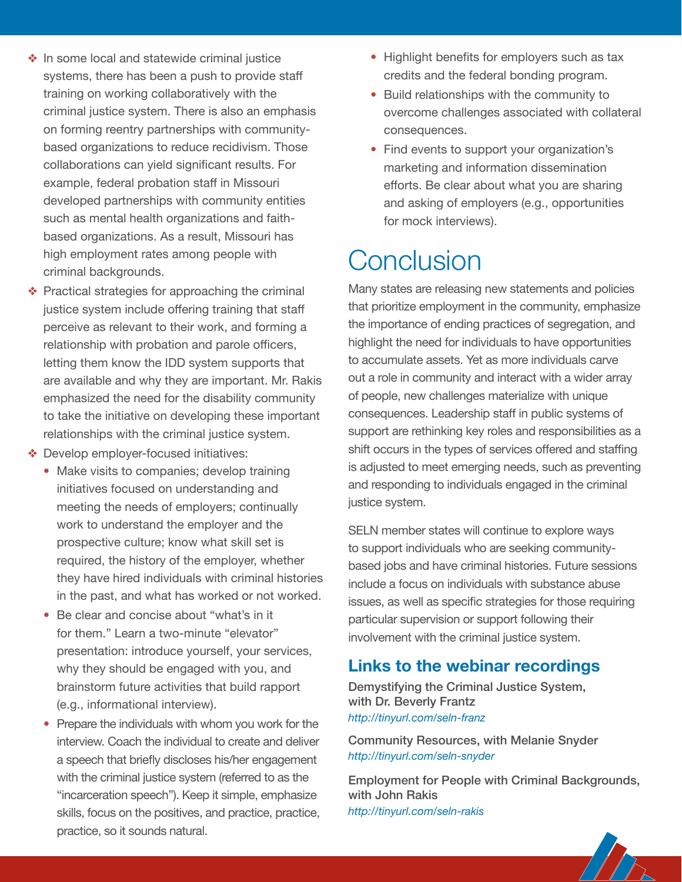- ❖ In some local and statewide criminal justice systems, there has been a push to provide staff training on working collaboratively with the criminal justice system. There is also an emphasis on forming reentry partnerships with communitybased organizations to reduce recidivism. Those collaborations can yield significant results. For example, federal probation staff in Missouri developed partnerships with community entities such as mental health organizations and faithbased organizations. As a result, Missouri has high employment rates among people with criminal backgrounds.
- ❖ Practical strategies for approaching the criminal justice system include offering training that staff perceive as relevant to their work, and forming a relationship with probation and parole officers, letting them know the IDD system supports that are available and why they are important. Mr. Rakis emphasized the need for the disability community to take the initiative on developing these important relationships with the criminal justice system.
- ❖ Develop employer-focused initiatives:
	- Make visits to companies; develop training initiatives focused on understanding and meeting the needs of employers; continually work to understand the employer and the prospective culture; know what skill set is required, the history of the employer, whether they have hired individuals with criminal histories in the past, and what has worked or not worked.
	- Be clear and concise about "what's in it for them." Learn a two-minute "elevator" presentation: introduce yourself, your services, why they should be engaged with you, and brainstorm future activities that build rapport (e.g., informational interview).
	- Prepare the individuals with whom you work for the interview. Coach the individual to create and deliver a speech that briefly discloses his/her engagement with the criminal justice system (referred to as the "incarceration speech"). Keep it simple, emphasize skills, focus on the positives, and practice, practice, practice, so it sounds natural.
- Highlight benefits for employers such as tax credits and the federal bonding program.
- Build relationships with the community to overcome challenges associated with collateral consequences.
- Find events to support your organization's marketing and information dissemination efforts. Be clear about what you are sharing and asking of employers (e.g., opportunities for mock interviews).

# **Conclusion**

Many states are releasing new statements and policies that prioritize employment in the community, emphasize the importance of ending practices of segregation, and highlight the need for individuals to have opportunities to accumulate assets. Yet as more individuals carve out a role in community and interact with a wider array of people, new challenges materialize with unique consequences. Leadership staff in public systems of support are rethinking key roles and responsibilities as a shift occurs in the types of services offered and staffing is adjusted to meet emerging needs, such as preventing and responding to individuals engaged in the criminal justice system.

SELN member states will continue to explore ways to support individuals who are seeking communitybased jobs and have criminal histories. Future sessions include a focus on individuals with substance abuse issues, as well as specific strategies for those requiring particular supervision or support following their involvement with the criminal justice system.

## **Links to the webinar recordings**

Demystifying the Criminal Justice System, with Dr. Beverly Frantz *http://tinyurl.com/seln-franz*

Community Resources, with Melanie Snyder *http://tinyurl.com/seln-snyder*

Employment for People with Criminal Backgrounds, with John Rakis *http://tinyurl.com/seln-rakis*

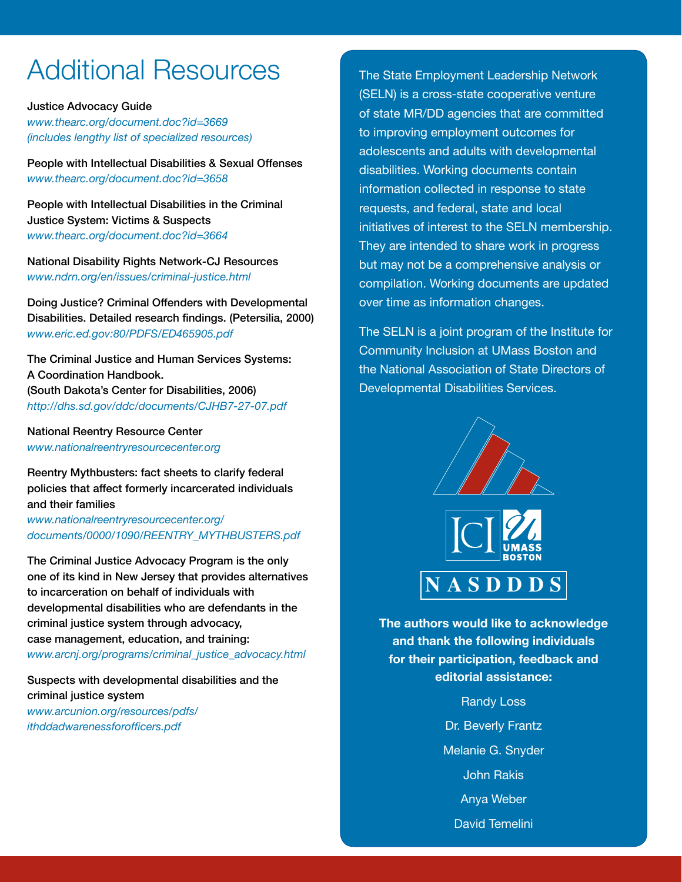# Additional Resources

Justice Advocacy Guide *www.thearc.org/document.doc?id=3669 (includes lengthy list of specialized resources)*

People with Intellectual Disabilities & Sexual Offenses *www.thearc.org/document.doc?id=3658*

People with Intellectual Disabilities in the Criminal Justice System: Victims & Suspects *www.thearc.org/document.doc?id=3664*

National Disability Rights Network-CJ Resources *www.ndrn.org/en/issues/criminal-justice.html*

Doing Justice? Criminal Offenders with Developmental Disabilities. Detailed research findings. (Petersilia, 2000) *www.eric.ed.gov:80/PDFS/ED465905.pdf*

The Criminal Justice and Human Services Systems: A Coordination Handbook. (South Dakota's Center for Disabilities, 2006) *http://dhs.sd.gov/ddc/documents/CJHB7-27-07.pdf*

National Reentry Resource Center *www.nationalreentryresourcecenter.org*

Reentry Mythbusters: fact sheets to clarify federal policies that affect formerly incarcerated individuals and their families

*www.nationalreentryresourcecenter.org/ documents/0000/1090/REENTRY\_MYTHBUSTERS.pdf*

The Criminal Justice Advocacy Program is the only one of its kind in New Jersey that provides alternatives to incarceration on behalf of individuals with developmental disabilities who are defendants in the criminal justice system through advocacy, case management, education, and training: *www.arcnj.org/programs/criminal\_justice\_advocacy.html*

Suspects with developmental disabilities and the criminal justice system *www.arcunion.org/resources/pdfs/ ithddadwarenessforofficers.pdf*

The State Employment Leadership Network (SELN) is a cross-state cooperative venture of state MR/DD agencies that are committed to improving employment outcomes for adolescents and adults with developmental disabilities. Working documents contain information collected in response to state requests, and federal, state and local initiatives of interest to the SELN membership. They are intended to share work in progress but may not be a comprehensive analysis or compilation. Working documents are updated over time as information changes.

The SELN is a joint program of the Institute for Community Inclusion at UMass Boston and the National Association of State Directors of Developmental Disabilities Services.



**The authors would like to acknowledge and thank the following individuals for their participation, feedback and editorial assistance:**

> Randy Loss Dr. Beverly Frantz Melanie G. Snyder John Rakis Anya Weber David Temelini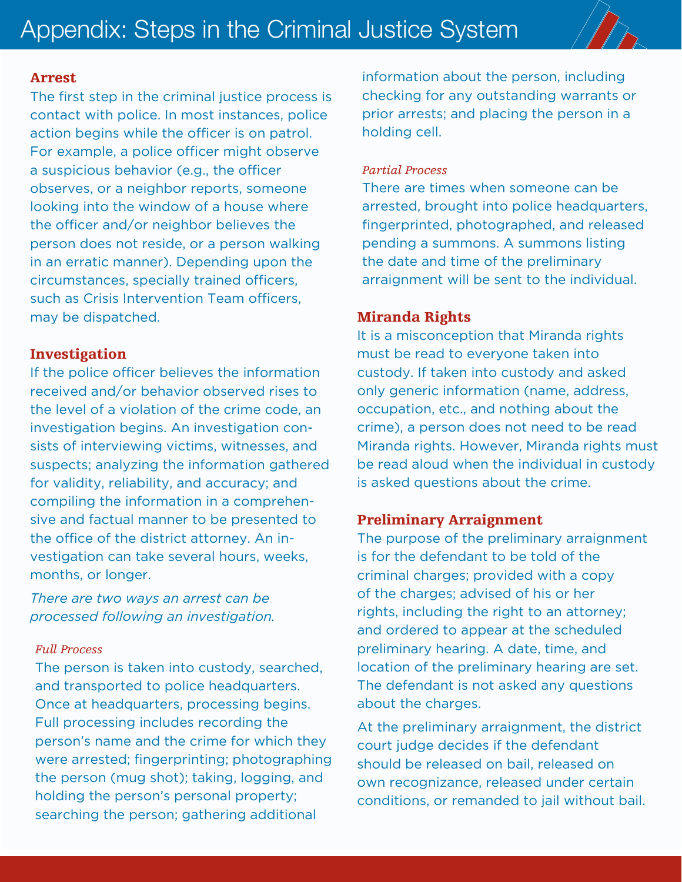

### Arrest

The first step in the criminal justice process is contact with police. In most instances, police action begins while the officer is on patrol. For example, a police officer might observe a suspicious behavior (e.g., the officer observes, or a neighbor reports, someone looking into the window of a house where the officer and/or neighbor believes the person does not reside, or a person walking in an erratic manner). Depending upon the circumstances, specially trained officers, such as Crisis Intervention Team officers, may be dispatched.

### Investigation

If the police officer believes the information received and/or behavior observed rises to the level of a violation of the crime code, an investigation begins. An investigation consists of interviewing victims, witnesses, and suspects; analyzing the information gathered for validity, reliability, and accuracy; and compiling the information in a comprehensive and factual manner to be presented to the office of the district attorney. An investigation can take several hours, weeks, months, or longer.

*There are two ways an arrest can be processed following an investigation.*

### *Full Process*

The person is taken into custody, searched, and transported to police headquarters. Once at headquarters, processing begins. Full processing includes recording the person's name and the crime for which they were arrested; fingerprinting; photographing the person (mug shot); taking, logging, and holding the person's personal property; searching the person; gathering additional

information about the person, including checking for any outstanding warrants or prior arrests; and placing the person in a holding cell.

### *Partial Process*

There are times when someone can be arrested, brought into police headquarters, fingerprinted, photographed, and released pending a summons. A summons listing the date and time of the preliminary arraignment will be sent to the individual.

### Miranda Rights

It is a misconception that Miranda rights must be read to everyone taken into custody. If taken into custody and asked only generic information (name, address, occupation, etc., and nothing about the crime), a person does not need to be read Miranda rights. However, Miranda rights must be read aloud when the individual in custody is asked questions about the crime.

### Preliminary Arraignment

The purpose of the preliminary arraignment is for the defendant to be told of the criminal charges; provided with a copy of the charges; advised of his or her rights, including the right to an attorney; and ordered to appear at the scheduled preliminary hearing. A date, time, and location of the preliminary hearing are set. The defendant is not asked any questions about the charges.

At the preliminary arraignment, the district court judge decides if the defendant should be released on bail, released on own recognizance, released under certain conditions, or remanded to jail without bail.